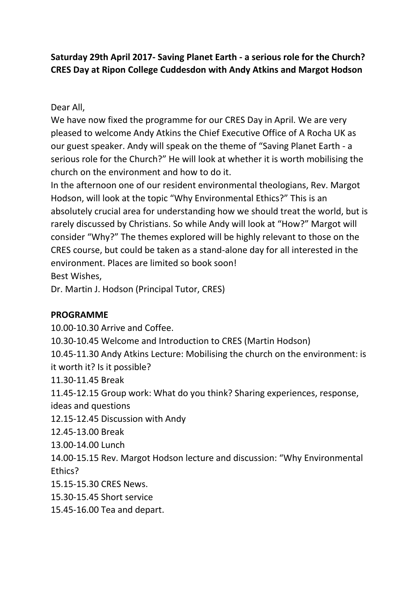# **Saturday 29th April 2017- Saving Planet Earth - a serious role for the Church? CRES Day at Ripon College Cuddesdon with Andy Atkins and Margot Hodson**

### Dear All,

We have now fixed the programme for our CRES Day in April. We are very pleased to welcome Andy Atkins the Chief Executive Office of A Rocha UK as our guest speaker. Andy will speak on the theme of "Saving Planet Earth - a serious role for the Church?" He will look at whether it is worth mobilising the church on the environment and how to do it.

In the afternoon one of our resident environmental theologians, Rev. Margot Hodson, will look at the topic "Why Environmental Ethics?" This is an absolutely crucial area for understanding how we should treat the world, but is rarely discussed by Christians. So while Andy will look at "How?" Margot will consider "Why?" The themes explored will be highly relevant to those on the CRES course, but could be taken as a stand-alone day for all interested in the environment. Places are limited so book soon! Best Wishes,

Dr. Martin J. Hodson (Principal Tutor, CRES)

## **PROGRAMME**

10.00-10.30 Arrive and Coffee. 10.30-10.45 Welcome and Introduction to CRES (Martin Hodson) 10.45-11.30 Andy Atkins Lecture: Mobilising the church on the environment: is it worth it? Is it possible? 11.30-11.45 Break 11.45-12.15 Group work: What do you think? Sharing experiences, response, ideas and questions 12.15-12.45 Discussion with Andy 12.45-13.00 Break 13.00-14.00 Lunch 14.00-15.15 Rev. Margot Hodson lecture and discussion: "Why Environmental Ethics? 15.15-15.30 CRES News. 15.30-15.45 Short service 15.45-16.00 Tea and depart.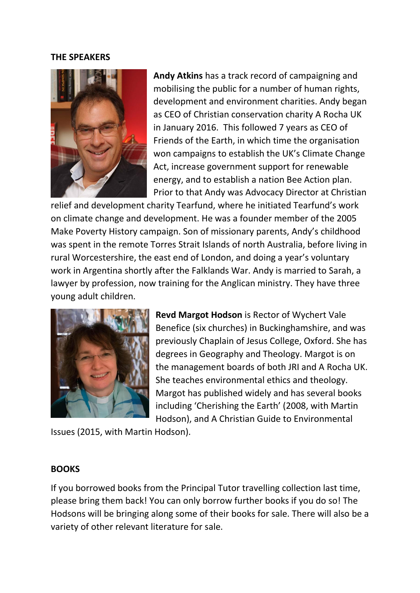#### **THE SPEAKERS**



**Andy Atkins** has a track record of campaigning and mobilising the public for a number of human rights, development and environment charities. Andy began as CEO of Christian conservation charity A Rocha UK in January 2016. This followed 7 years as CEO of Friends of the Earth, in which time the organisation won campaigns to establish the UK's Climate Change Act, increase government support for renewable energy, and to establish a nation Bee Action plan. Prior to that Andy was Advocacy Director at Christian

relief and development charity Tearfund, where he initiated Tearfund's work on climate change and development. He was a founder member of the 2005 Make Poverty History campaign. Son of missionary parents, Andy's childhood was spent in the remote Torres Strait Islands of north Australia, before living in rural Worcestershire, the east end of London, and doing a year's voluntary work in Argentina shortly after the Falklands War. Andy is married to Sarah, a lawyer by profession, now training for the Anglican ministry. They have three young adult children.



**Revd Margot Hodson** is Rector of Wychert Vale Benefice (six churches) in Buckinghamshire, and was previously Chaplain of Jesus College, Oxford. She has degrees in Geography and Theology. Margot is on the management boards of both JRI and A Rocha UK. She teaches environmental ethics and theology. Margot has published widely and has several books including 'Cherishing the Earth' (2008, with Martin Hodson), and A Christian Guide to Environmental

Issues (2015, with Martin Hodson).

### **BOOKS**

If you borrowed books from the Principal Tutor travelling collection last time, please bring them back! You can only borrow further books if you do so! The Hodsons will be bringing along some of their books for sale. There will also be a variety of other relevant literature for sale.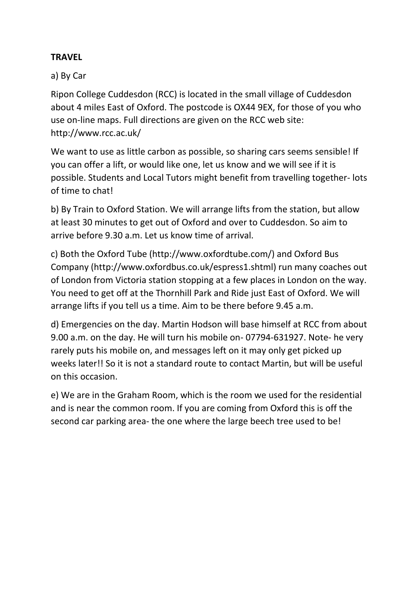## **TRAVEL**

### a) By Car

Ripon College Cuddesdon (RCC) is located in the small village of Cuddesdon about 4 miles East of Oxford. The postcode is OX44 9EX, for those of you who use on-line maps. Full directions are given on the RCC web site: http://www.rcc.ac.uk/

We want to use as little carbon as possible, so sharing cars seems sensible! If you can offer a lift, or would like one, let us know and we will see if it is possible. Students and Local Tutors might benefit from travelling together- lots of time to chat!

b) By Train to Oxford Station. We will arrange lifts from the station, but allow at least 30 minutes to get out of Oxford and over to Cuddesdon. So aim to arrive before 9.30 a.m. Let us know time of arrival.

c) Both the Oxford Tube (http://www.oxfordtube.com/) and Oxford Bus Company (http://www.oxfordbus.co.uk/espress1.shtml) run many coaches out of London from Victoria station stopping at a few places in London on the way. You need to get off at the Thornhill Park and Ride just East of Oxford. We will arrange lifts if you tell us a time. Aim to be there before 9.45 a.m.

d) Emergencies on the day. Martin Hodson will base himself at RCC from about 9.00 a.m. on the day. He will turn his mobile on- 07794-631927. Note- he very rarely puts his mobile on, and messages left on it may only get picked up weeks later!! So it is not a standard route to contact Martin, but will be useful on this occasion.

e) We are in the Graham Room, which is the room we used for the residential and is near the common room. If you are coming from Oxford this is off the second car parking area- the one where the large beech tree used to be!